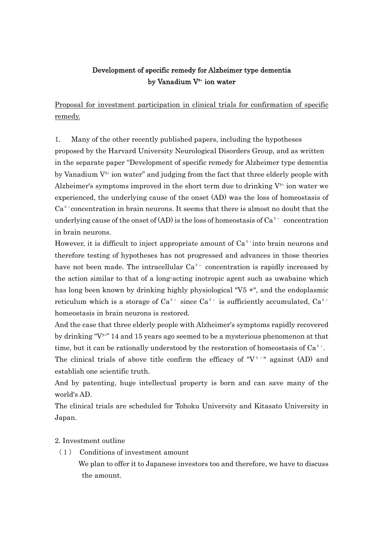## Development of specific remedy for Alzheimer type dementia by Vanadium V<sup>5+</sup> ion water

Proposal for investment participation in clinical trials for confirmation of specific remedy.

1. Many of the other recently published papers, including the hypotheses proposed by the Harvard University Neurological Disorders Group, and as written in the separate paper "Development of specific remedy for Alzheimer type dementia by Vanadium  $V^{5+}$  ion water" and judging from the fact that three elderly people with Alzheimer's symptoms improved in the short term due to drinking  $V^{5+}$  ion water we experienced, the underlying cause of the onset (AD) was the loss of homeostasis of  $Ca<sup>2+</sup> concentration in brain neurons. It seems that there is almost no doubt that the$ underlying cause of the onset of (AD) is the loss of homeostasis of  $Ca^{2+}$  concentration in brain neurons.

However, it is difficult to inject appropriate amount of  $Ca<sup>2+</sup>$  into brain neurons and therefore testing of hypotheses has not progressed and advances in those theories have not been made. The intracellular  $Ca^{2+}$  concentration is rapidly increased by the action similar to that of a long-acting inotropic agent such as uwabaine which has long been known by drinking highly physiological "V5 +", and the endoplasmic reticulum which is a storage of  $Ca^{2+}$  since  $Ca^{2+}$  is sufficiently accumulated,  $Ca^{2+}$ homeostasis in brain neurons is restored.

And the case that three elderly people with Alzheimer's symptoms rapidly recovered by drinking " $V^{5+}$ " 14 and 15 years ago seemed to be a mysterious phenomenon at that time, but it can be rationally understood by the restoration of homeostasis of  $Ca^{2+}$ . The clinical trials of above title confirm the efficacy of " $V^{\frac{1}{3}+}$ " against (AD) and

establish one scientific truth.

And by patenting, huge intellectual property is born and can save many of the world's AD.

The clinical trials are scheduled for Tohoku University and Kitasato University in Japan.

## 2. Investment outline

(1) Conditions of investment amount

We plan to offer it to Japanese investors too and therefore, we have to discuss the amount.